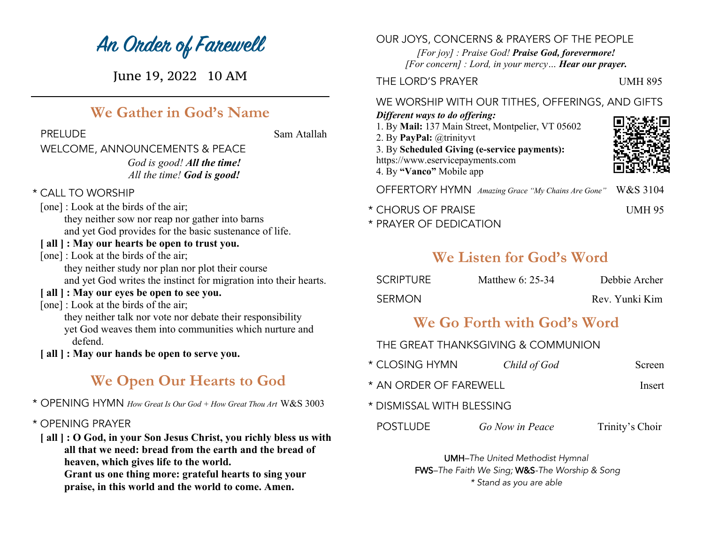# **An Order of Farewell**

June 19, 2022 10 AM

## **We Gather in God's Name**

PRELUDE Sam Atallah

## WELCOME, ANNOUNCEMENTS & PEACE *God is good! All the time! All the time! God is good!*

- \* CALL TO WORSHIP
- [one] : Look at the birds of the air; they neither sow nor reap nor gather into barns and yet God provides for the basic sustenance of life.
- **[ all ] : May our hearts be open to trust you.**
- [one] : Look at the birds of the air; they neither study nor plan nor plot their course and yet God writes the instinct for migration into their hearts.
- **[ all ] : May our eyes be open to see you.**
- [one] : Look at the birds of the air; they neither talk nor vote nor debate their responsibility yet God weaves them into communities which nurture and defend.
- **[ all ] : May our hands be open to serve you.**

## **We Open Our Hearts to God**

- \* OPENING HYMN *How Great Is Our God + How Great Thou Art* W&S 3003
- \* OPENING PRAYER
- **[ all ] : O God, in your Son Jesus Christ, you richly bless us with all that we need: bread from the earth and the bread of heaven, which gives life to the world.**

**Grant us one thing more: grateful hearts to sing your praise, in this world and the world to come. Amen.**

## OUR JOYS, CONCERNS & PRAYERS OF THE PEOPLE

*[For joy] : Praise God! Praise God, forevermore! [For concern] : Lord, in your mercy… Hear our prayer.*

## THE LORD'S PRAYER UMH 895

### WE WORSHIP WITH OUR TITHES, OFFERINGS, AND GIFTS

#### *Different ways to do offering:*

1. By **Mail:** 137 Main Street, Montpelier, VT 05602 2. By **PayPal:** @trinityvt 3. By **Scheduled Giving (e-service payments):** https://www.eservicepayments.com 4. By **"Vanco"** Mobile app



OFFERTORY HYMN *Amazing Grace "My Chains Are Gone"* W&S 3104

- \* CHORUS OF PRAISE UMH 95
- \* PRAYER OF DEDICATION

## **We Listen for God's Word**

| SCRIPTURE | Matthew $6: 25-34$ | Debbie Archer  |
|-----------|--------------------|----------------|
| SERMON    |                    | Rev. Yunki Kim |

## **We Go Forth with God's Word**

## THE GREAT THANKSGIVING & COMMUNION

- \* CLOSING HYMN *Child of God* Screen
- \* AN ORDER OF FAREWELL Insert
- \* DISMISSAL WITH BLESSING

#### POSTLUDE *Go Now in Peace* Trinity's Choir

UMH*–The United Methodist Hymnal* FWS*–The Faith We Sing;* W&S*-The Worship & Song \* Stand as you are able*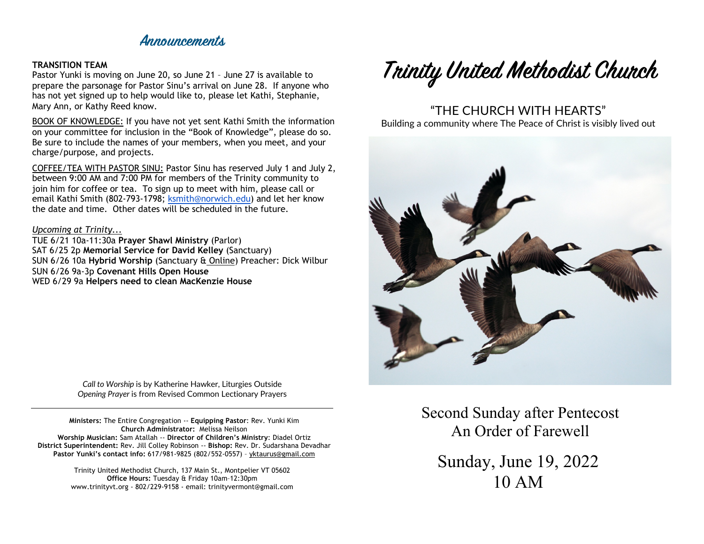## **Announcements**

#### **TRANSITION TEAM**

Pastor Yunki is moving on June 20, so June 21 – June 27 is available to prepare the parsonage for Pastor Sinu's arrival on June 28. If anyone who has not yet signed up to help would like to, please let Kathi, Stephanie, Mary Ann, or Kathy Reed know.

BOOK OF KNOWLEDGE: If you have not yet sent Kathi Smith the information on your committee for inclusion in the "Book of Knowledge", please do so. Be sure to include the names of your members, when you meet, and your charge/purpose, and projects.

COFFEE/TEA WITH PASTOR SINU: Pastor Sinu has reserved July 1 and July 2, between 9:00 AM and 7:00 PM for members of the Trinity community to join him for coffee or tea. To sign up to meet with him, please call or email Kathi Smith (802-793-1798; ksmith@norwich.edu) and let her know the date and time. Other dates will be scheduled in the future.

#### *Upcoming at Trinity...*

TUE 6/21 10a-11:30a **Prayer Shawl Ministry** (Parlor) SAT 6/25 2p **Memorial Service for David Kelley** (Sanctuary) SUN 6/26 10a **Hybrid Worship** (Sanctuary & Online) Preacher: Dick Wilbur SUN 6/26 9a-3p **Covenant Hills Open House** WED 6/29 9a **Helpers need to clean MacKenzie House**

> *Call to Worship* is by Katherine Hawker, Liturgies Outside *Opening Prayer* is from Revised Common Lectionary Prayers

**Ministers:** The Entire Congregation -- **Equipping Pastor**: Rev. Yunki Kim **Church Administrator:** Melissa Neilson **Worship Musician:** Sam Atallah -- **Director of Children's Ministry**: Diadel Ortiz **District Superintendent:** Rev. Jill Colley Robinson -- **Bishop:** Rev. Dr. Sudarshana Devadhar **Pastor Yunki's contact info:** 617/981-9825 (802/552-0557) – yktaurus@gmail.com

> Trinity United Methodist Church, 137 Main St., Montpelier VT 05602 **Office Hours:** Tuesday & Friday 10am–12:30pm www.trinityvt.org - 802/229-9158 - email: trinityvermont@gmail.com



## "THE CHURCH WITH HEARTS"

Building a community where The Peace of Christ is visibly lived out



Second Sunday after Pentecost An Order of Farewell

Sunday, June 19, 2022 10 AM